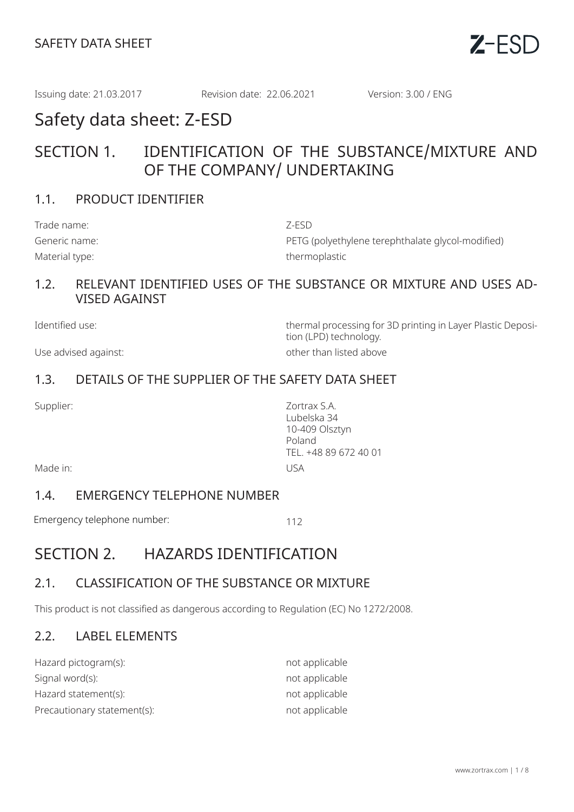

Issuing date: 21.03.2017 Revision date: 22.06.2021 Version: 3.00 / ENG

# Safety data sheet: Z-ESD

## SECTION 1. IDENTIFICATION OF THE SUBSTANCE/MIXTURE AND OF THE COMPANY/ UNDERTAKING

## 1.1. PRODUCT IDENTIFIER

| Trade name:    | Z-ESD                                             |
|----------------|---------------------------------------------------|
| Generic name:  | PETG (polyethylene terephthalate glycol-modified) |
| Material type: | thermoplastic                                     |

#### 1.2. RELEVANT IDENTIFIED USES OF THE SUBSTANCE OR MIXTURE AND USES AD-VISED AGAINST

Identified use: thermal processing for 3D printing in Layer Plastic Deposition (LPD) technology. Use advised against:  $\qquad \qquad$  other than listed above

## 1.3. DETAILS OF THE SUPPLIER OF THE SAFETY DATA SHEET

Supplier: Zortrax S.A. Lubelska 34 10-409 Olsztyn Poland TEL. +48 89 672 40 01

Made in: USA

#### 1.4. EMERGENCY TELEPHONE NUMBER

Emergency telephone number: 112

## SECTION 2. HAZARDS IDENTIFICATION

## 2.1. CLASSIFICATION OF THE SUBSTANCE OR MIXTURE

This product is not classified as dangerous according to Regulation (EC) No 1272/2008.

## 2.2. LABEL ELEMENTS

| Hazard pictogram(s):        | not applicable |
|-----------------------------|----------------|
| Signal word(s):             | not applicable |
| Hazard statement(s):        | not applicable |
| Precautionary statement(s): | not applicable |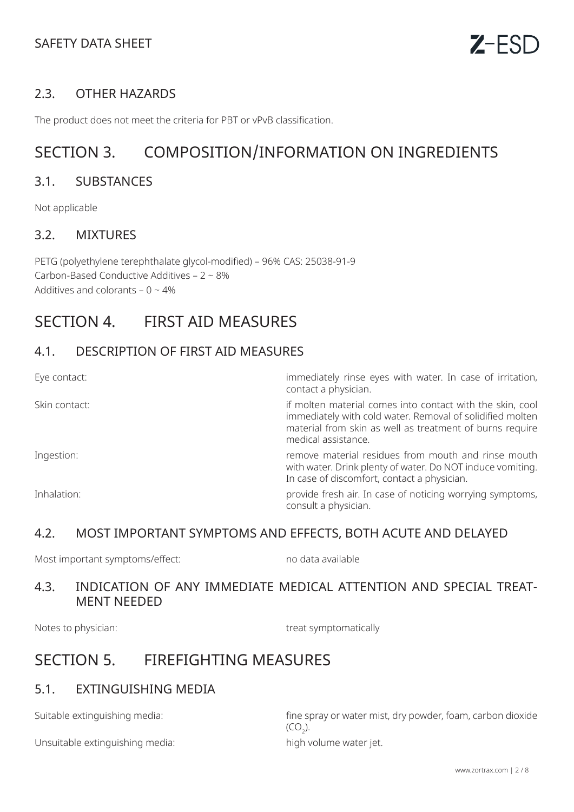## SAFETY DATA SHEET

## 2.3. OTHER HAZARDS

The product does not meet the criteria for PBT or vPvB classification.

# SECTION 3. COMPOSITION/INFORMATION ON INGREDIENTS

#### 3.1. SUBSTANCES

Not applicable

#### 3.2. MIXTURES

PETG (polyethylene terephthalate glycol-modified) – 96% CAS: 25038-91-9 Carbon-Based Conductive Additives – 2 ~ 8% Additives and colorants –  $0 \sim 4\%$ 

## SECTION 4. FIRST AID MEASURES

#### 4.1. DESCRIPTION OF FIRST AID MEASURES

| Eye contact:  | immediately rinse eyes with water. In case of irritation,<br>contact a physician.                                                                                                                         |
|---------------|-----------------------------------------------------------------------------------------------------------------------------------------------------------------------------------------------------------|
| Skin contact: | if molten material comes into contact with the skin, cool<br>immediately with cold water. Removal of solidified molten<br>material from skin as well as treatment of burns require<br>medical assistance. |
| Ingestion:    | remove material residues from mouth and rinse mouth<br>with water. Drink plenty of water. Do NOT induce vomiting.<br>In case of discomfort, contact a physician.                                          |
| Inhalation:   | provide fresh air. In case of noticing worrying symptoms,<br>consult a physician.                                                                                                                         |

#### 4.2. MOST IMPORTANT SYMPTOMS AND EFFECTS, BOTH ACUTE AND DELAYED

Most important symptoms/effect: no modata available

#### 4.3. INDICATION OF ANY IMMEDIATE MEDICAL ATTENTION AND SPECIAL TREAT-MENT NEEDED

Notes to physician: treat symptomatically

## SECTION 5. FIREFIGHTING MEASURES

## 5.1. EXTINGUISHING MEDIA

Unsuitable extinguishing media: high volume water jet.

Suitable extinguishing media: fine spray or water mist, dry powder, foam, carbon dioxide  $(CO_2)$ .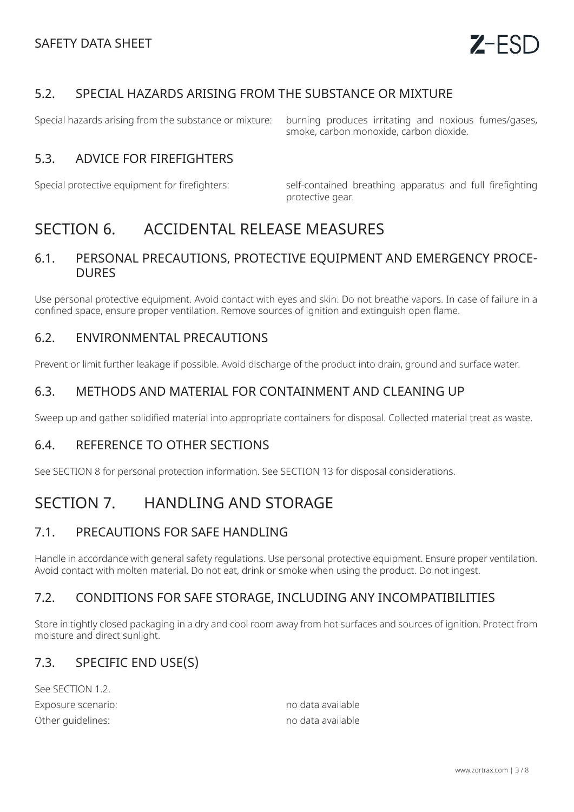## 5.2. SPECIAL HAZARDS ARISING FROM THE SUBSTANCE OR MIXTURE

Special hazards arising from the substance or mixture: burning produces irritating and noxious fumes/gases, smoke, carbon monoxide, carbon dioxide.

## 5.3. ADVICE FOR FIREFIGHTERS

Special protective equipment for firefighters: self-contained breathing apparatus and full firefighting protective gear.

# SECTION 6. ACCIDENTAL RELEASE MEASURES

#### 6.1. PERSONAL PRECAUTIONS, PROTECTIVE EQUIPMENT AND EMERGENCY PROCE-DURES

Use personal protective equipment. Avoid contact with eyes and skin. Do not breathe vapors. In case of failure in a confined space, ensure proper ventilation. Remove sources of ignition and extinguish open flame.

#### 6.2. ENVIRONMENTAL PRECAUTIONS

Prevent or limit further leakage if possible. Avoid discharge of the product into drain, ground and surface water.

## 6.3. METHODS AND MATERIAL FOR CONTAINMENT AND CLEANING UP

Sweep up and gather solidified material into appropriate containers for disposal. Collected material treat as waste.

## 6.4. REFERENCE TO OTHER SECTIONS

See SECTION 8 for personal protection information. See SECTION 13 for disposal considerations.

# SECTION 7. HANDLING AND STORAGE

#### 7.1. PRECAUTIONS FOR SAFE HANDLING

Handle in accordance with general safety regulations. Use personal protective equipment. Ensure proper ventilation. Avoid contact with molten material. Do not eat, drink or smoke when using the product. Do not ingest.

## 7.2. CONDITIONS FOR SAFE STORAGE, INCLUDING ANY INCOMPATIBILITIES

Store in tightly closed packaging in a dry and cool room away from hot surfaces and sources of ignition. Protect from moisture and direct sunlight.

#### 7.3. SPECIFIC END USE(S)

See SECTION 1.2. Exposure scenario: no data available Other guidelines: no data available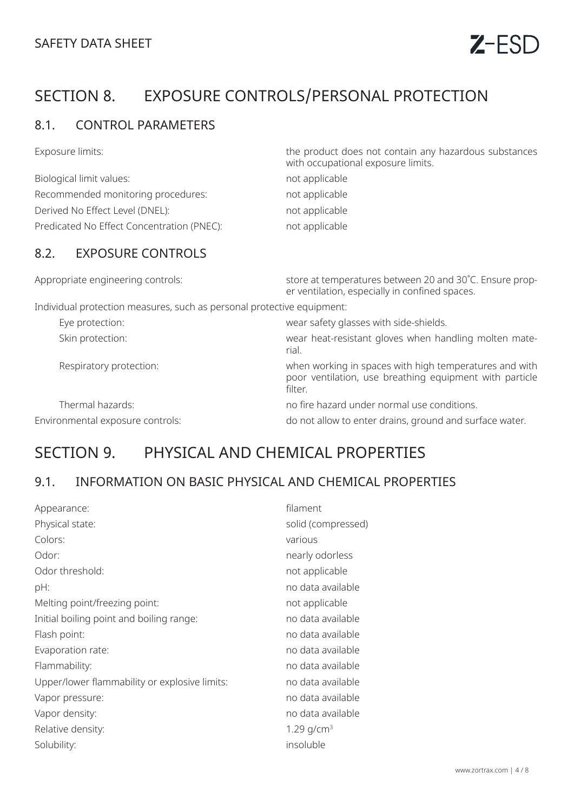# SECTION 8. EXPOSURE CONTROLS/PERSONAL PROTECTION

## 8.1. CONTROL PARAMETERS

Exposure limits: the product does not contain any hazardous substances

|                                            | with occupational exposure limits. |
|--------------------------------------------|------------------------------------|
| Biological limit values:                   | not applicable                     |
| Recommended monitoring procedures:         | not applicable                     |
| Derived No Effect Level (DNEL):            | not applicable                     |
| Predicated No Effect Concentration (PNEC): | not applicable                     |

## 8.2. EXPOSURE CONTROLS

| Appropriate engineering controls:                                      | store at temperatures between 20 and 30°C. Ensure prop-<br>er ventilation, especially in confined spaces.                    |
|------------------------------------------------------------------------|------------------------------------------------------------------------------------------------------------------------------|
| Individual protection measures, such as personal protective equipment: |                                                                                                                              |
| Eye protection:                                                        | wear safety glasses with side-shields.                                                                                       |
| Skin protection:                                                       | wear heat-resistant gloves when handling molten mate-<br>rial.                                                               |
| Respiratory protection:                                                | when working in spaces with high temperatures and with<br>poor ventilation, use breathing equipment with particle<br>filter. |
| Thermal hazards:                                                       | no fire hazard under normal use conditions.                                                                                  |
| Environmental exposure controls:                                       | do not allow to enter drains, ground and surface water.                                                                      |

# SECTION 9. PHYSICAL AND CHEMICAL PROPERTIES

## 9.1. INFORMATION ON BASIC PHYSICAL AND CHEMICAL PROPERTIES

| Appearance:                                   | filament           |
|-----------------------------------------------|--------------------|
| Physical state:                               | solid (compressed) |
| Colors:                                       | various            |
| Odor:                                         | nearly odorless    |
| Odor threshold:                               | not applicable     |
| pH:                                           | no data available  |
| Melting point/freezing point:                 | not applicable     |
| Initial boiling point and boiling range:      | no data available  |
| Flash point:                                  | no data available  |
| Evaporation rate:                             | no data available  |
| Flammability:                                 | no data available  |
| Upper/lower flammability or explosive limits: | no data available  |
| Vapor pressure:                               | no data available  |
| Vapor density:                                | no data available  |
| Relative density:                             | 1.29 $q/cm^3$      |
| Solubility:                                   | insoluble          |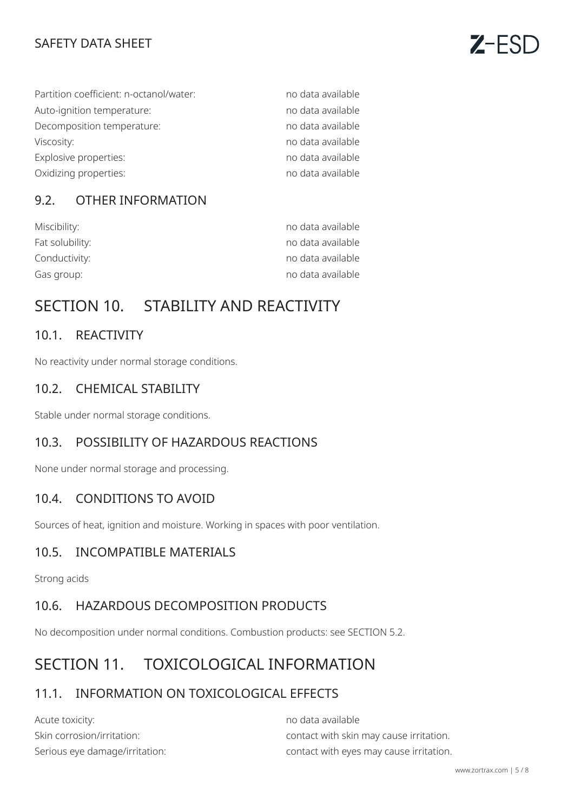## SAFETY DATA SHEET

| Partition coefficient: n-octanol/water: | no data available |
|-----------------------------------------|-------------------|
| Auto-ignition temperature:              | no data available |
| Decomposition temperature:              | no data available |
| Viscosity:                              | no data available |
| Explosive properties:                   | no data available |
| Oxidizing properties:                   | no data available |

## 9.2. OTHER INFORMATION

| Miscibility:    | no data available |
|-----------------|-------------------|
| Fat solubility: | no data available |
| Conductivity:   | no data available |
| Gas group:      | no data available |

## SECTION 10. STABILITY AND REACTIVITY

## 10.1. REACTIVITY

No reactivity under normal storage conditions.

#### 10.2. CHEMICAL STABILITY

Stable under normal storage conditions.

## 10.3. POSSIBILITY OF HAZARDOUS REACTIONS

None under normal storage and processing.

#### 10.4. CONDITIONS TO AVOID

Sources of heat, ignition and moisture. Working in spaces with poor ventilation.

#### 10.5. INCOMPATIBLE MATERIALS

Strong acids

## 10.6. HAZARDOUS DECOMPOSITION PRODUCTS

No decomposition under normal conditions. Combustion products: see SECTION 5.2.

## SECTION 11. TOXICOLOGICAL INFORMATION

## 11.1. INFORMATION ON TOXICOLOGICAL EFFECTS

| Acute toxicity:                | no data available                       |
|--------------------------------|-----------------------------------------|
| Skin corrosion/irritation:     | contact with skin may cause irritation. |
| Serious eye damage/irritation: | contact with eyes may cause irritation. |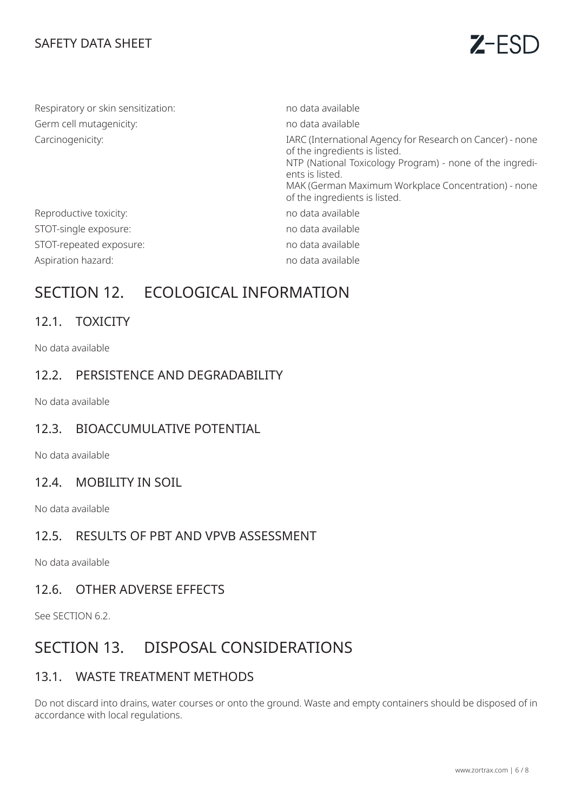## SAFETY DATA SHEET



| Respiratory or skin sensitization: | no data available                                                                                                                                                                                                                                                 |
|------------------------------------|-------------------------------------------------------------------------------------------------------------------------------------------------------------------------------------------------------------------------------------------------------------------|
| Germ cell mutagenicity:            | no data available                                                                                                                                                                                                                                                 |
| Carcinogenicity:                   | IARC (International Agency for Research on Cancer) - none<br>of the ingredients is listed.<br>NTP (National Toxicology Program) - none of the ingredi-<br>ents is listed.<br>MAK (German Maximum Workplace Concentration) - none<br>of the ingredients is listed. |
| Reproductive toxicity:             | no data available                                                                                                                                                                                                                                                 |
| STOT-single exposure:              | no data available                                                                                                                                                                                                                                                 |
| STOT-repeated exposure:            | no data available                                                                                                                                                                                                                                                 |
| Aspiration hazard:                 | no data available                                                                                                                                                                                                                                                 |

## SECTION 12. ECOLOGICAL INFORMATION

## 12.1. TOXICITY

No data available

#### 12.2. PERSISTENCE AND DEGRADABILITY

No data available

#### 12.3. BIOACCUMULATIVE POTENTIAL

No data available

#### 12.4. MOBILITY IN SOIL

No data available

## 12.5. RESULTS OF PBT AND VPVB ASSESSMENT

No data available

#### 12.6. OTHER ADVERSE EFFECTS

See SECTION 6.2.

## SECTION 13. DISPOSAL CONSIDERATIONS

#### 13.1. WASTE TREATMENT METHODS

Do not discard into drains, water courses or onto the ground. Waste and empty containers should be disposed of in accordance with local regulations.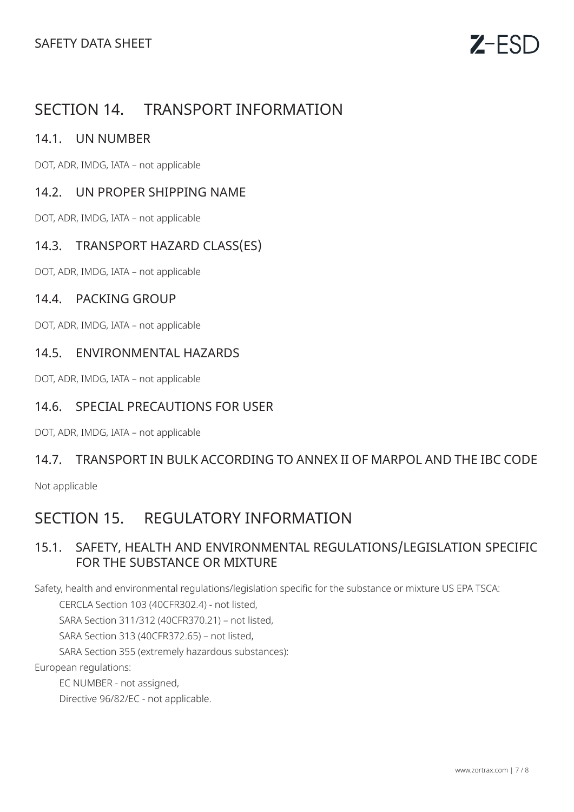## SECTION 14. TRANSPORT INFORMATION

#### 14.1. UN NUMBER

DOT, ADR, IMDG, IATA – not applicable

#### 14.2. UN PROPER SHIPPING NAME

DOT, ADR, IMDG, IATA – not applicable

## 14.3. TRANSPORT HAZARD CLASS(ES)

DOT, ADR, IMDG, IATA – not applicable

#### 14.4. PACKING GROUP

DOT, ADR, IMDG, IATA – not applicable

#### 14.5. ENVIRONMENTAL HAZARDS

DOT, ADR, IMDG, IATA – not applicable

#### 14.6. SPECIAL PRECAUTIONS FOR USER

DOT, ADR, IMDG, IATA – not applicable

#### 14.7. TRANSPORT IN BULK ACCORDING TO ANNEX II OF MARPOL AND THE IBC CODE

Not applicable

## SECTION 15. REGULATORY INFORMATION

## 15.1. SAFETY, HEALTH AND ENVIRONMENTAL REGULATIONS/LEGISLATION SPECIFIC FOR THE SUBSTANCE OR MIXTURE

Safety, health and environmental regulations/legislation specific for the substance or mixture US EPA TSCA:

CERCLA Section 103 (40CFR302.4) - not listed,

SARA Section 311/312 (40CFR370.21) – not listed,

SARA Section 313 (40CFR372.65) – not listed,

SARA Section 355 (extremely hazardous substances):

European regulations:

EC NUMBER - not assigned,

Directive 96/82/EC - not applicable.